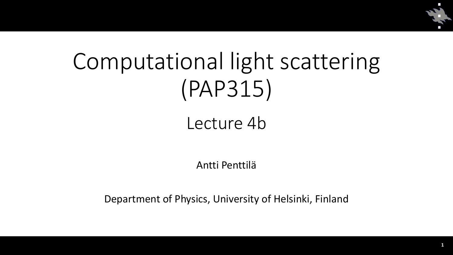

# Computational light scattering (PAP315)

## Lecture 4b

Antti Penttilä

Department of Physics, University of Helsinki, Finland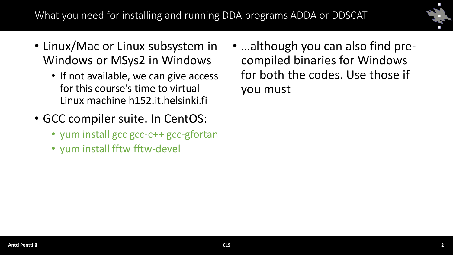

- Linux/Mac or Linux subsystem in Windows or MSys2 in Windows
	- If not available, we can give access for this course's time to virtual Linux machine h152.it.helsinki.fi
- GCC compiler suite. In CentOS:
	- yum install gcc gcc-c++ gcc-gfortan
	- yum install fftw fftw-devel

• ...although you can also find precompiled binaries for Windows for both the codes. Use those if you must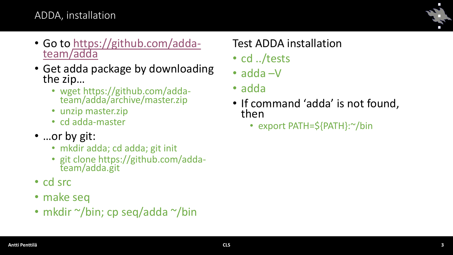#### ADDA, installation

- [Go to https://github.com/adda](https://github.com/adda-team/adda)team/adda
- Get adda package by downloading the zip…
	- wget https://github.com/addateam/adda/archive/master.zip
	- unzip master.zip
	- cd adda-master
- …or by git:
	- mkdir adda; cd adda; git init
	- git clone https://github.com/addateam/adda.git
- cd src
- make seq
- mkdir ~/bin; cp seq/adda ~/bin

## Test ADDA installation

- cd ../tests
- adda –V
- adda
- If command 'adda' is not found, then
	- export PATH=\${PATH}:~/bin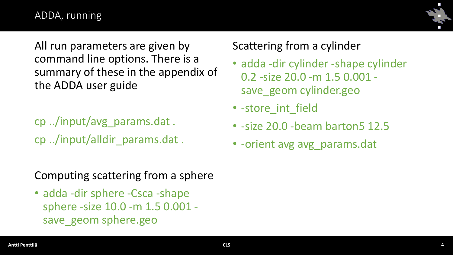#### ADDA, running



All run parameters are given by command line options. There is a summary of these in the appendix of the ADDA user guide

cp ../input/avg\_params.dat . cp ../input/alldir\_params.dat .

## Computing scattering from a sphere

• adda -dir sphere -Csca -shape sphere -size 10.0 -m 1.5 0.001 save\_geom sphere.geo

### Scattering from a cylinder

- adda -dir cylinder -shape cylinder 0.2 -size 20.0 -m 1.5 0.001 save\_geom cylinder.geo
- -store int field
- -size 20.0 -beam barton 5 12.5
- - orient avg avg params.dat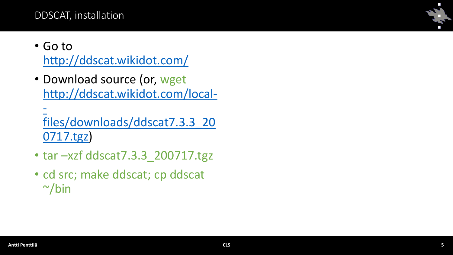#### DDSCAT, installation

## • Go to <http://ddscat.wikidot.com/>

• Download source (or, wget http://ddscat.wikidot.com/local-

 [files/downloads/ddscat7.3.3\\_20](http://ddscat.wikidot.com/local--files/downloads/ddscat7.3.3_200717.tgz) 0717.tgz)

- tar –xzf ddscat7.3.3\_200717.tgz
- cd src; make ddscat; cp ddscat  $\sim$ /bin